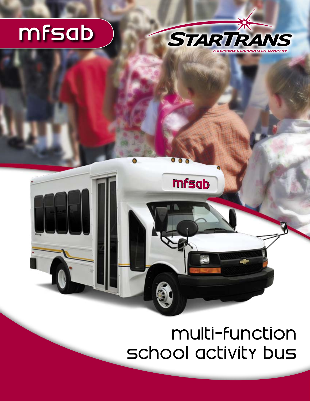# mfsab



## multi-function school activity bus

**mfsab**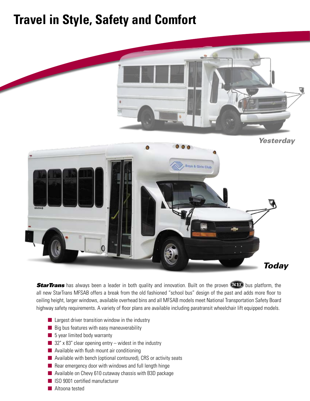### **Travel in Style, Safety and Comfort**



**StarTrans** has always been a leader in both quality and innovation. Built on the proven **STD** bus platform, the all new StarTrans MFSAB offers a break from the old fashioned "school bus" design of the past and adds more floor to ceiling height, larger windows, available overhead bins and all MFSAB models meet National Transportation Safety Board highway safety requirements. A variety of floor plans are available including paratransit wheelchair lift equipped models.

- $\blacksquare$  Largest driver transition window in the industry
- $\blacksquare$  Big bus features with easy maneuverability
- $\blacksquare$  5 year limited body warranty
- 32" x 83" clear opening entry widest in the industry
- $\blacksquare$  Available with flush mount air conditioning
- $\blacksquare$  Available with bench (optional contoured), CRS or activity seats
- $\blacksquare$  Rear emergency door with windows and full length hinge
- Available on Chevy 610 cutaway chassis with B3D package
- **n** ISO 9001 certified manufacturer
- **n** Altoona tested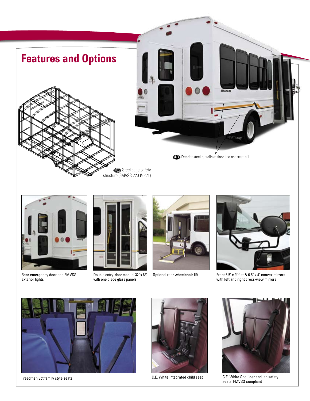



Rear emergency door and FMVSS exterior lights



Double entry door manual 32" x 83" with one piece glass panels



Optional rear wheelchair lift



Front 6.5" x 9" flat & 6.5" x 4" convex mirrors with left and right cross-view mirrors





C.E. White Integrated child seat



Freedman 3pt family style seats **C.E. Shoulder and lap safety** C.E. White Integrated child seat C.E. White Shoulder and lap safety seats, FMVSS compliant